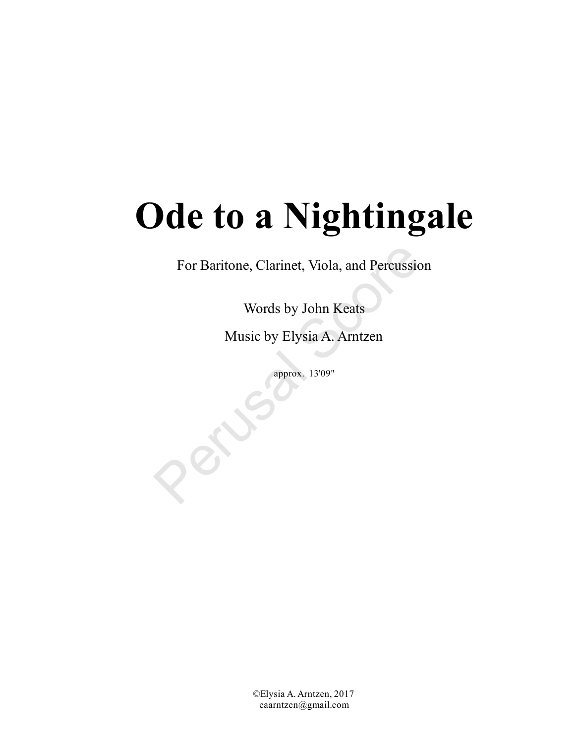# **Ode to a Nightingale**

For Baritone, Clarinet, Viola, and Percussion

Words by John Keats

Music by Elysia A. Arntzen

approx. 13'09"

Perusal

©Elysia A. Arntzen, 2017 eaarntzen@gmail.com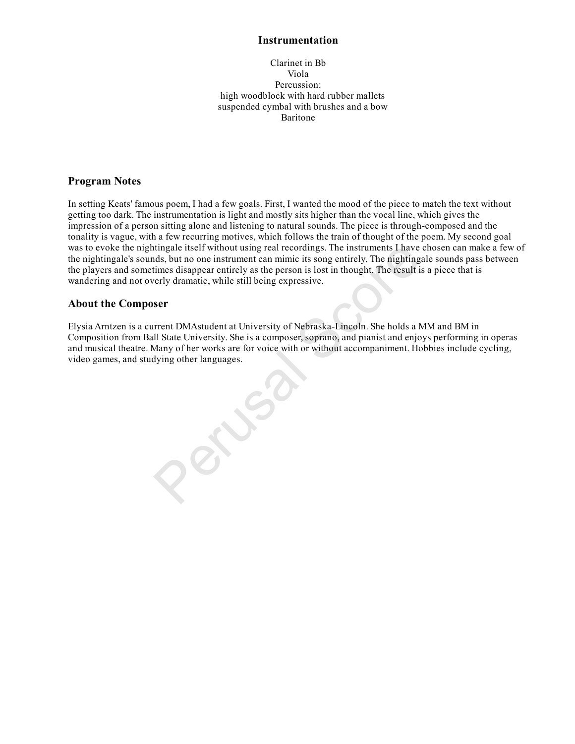### **Instrumentation**

Clarinet in Bb Viola Percussion: high woodblock with hard rubber mallets suspended cymbal with brushes and a bow Baritone

#### **Program Notes**

In setting Keats' famous poem, I had a few goals. First, I wanted the mood of the piece to match the text without getting too dark. The instrumentation is light and mostly sits higher than the vocal line, which gives the impression of a person sitting alone and listening to natural sounds. The piece is through-composed and the tonality is vague, with a few recurring motives, which follows the train of thought of the poem. My second goal was to evoke the nightingale itself without using real recordings. The instruments I have chosen can make a few of the nightingale's sounds, but no one instrument can mimic its song entirely. The nightingale sounds pass between the players and sometimes disappear entirely as the person is lost in thought. The result is a piece that is wandering and not overly dramatic, while still being expressive.

#### **About the Composer**

Elysia Arntzen is a current DMAstudent at University of Nebraska-Lincoln. She holds a MM and BM in Composition from Ball State University. She is a composer, soprano, and pianist and enjoys performing in operas and musical theatre. Many of her works are for voice with or without accompaniment. Hobbies include cycling, video games, and studying other languages.

Perusal Score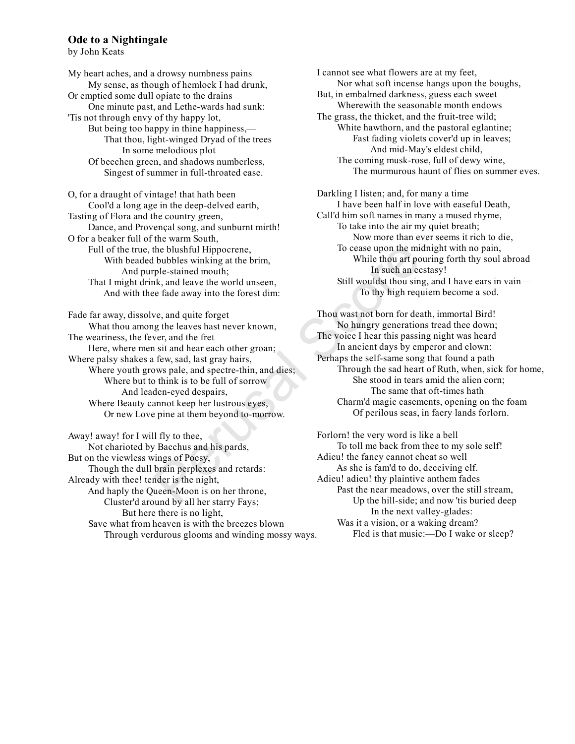#### **Ode to a Nightingale**

by John Keats

My heart aches, and a drowsy numbness pains My sense, as though of hemlock I had drunk, Or emptied some dull opiate to the drains One minute past, and Lethe-wards had sunk: 'Tis not through envy of thy happy lot, But being too happy in thine happiness,— That thou, light-winged Dryad of the trees In some melodious plot Of beechen green, and shadows numberless, Singest of summer in full-throated ease. O, for a draught of vintage! that hath been Cool'd a long age in the deep-delved earth,

Tasting of Flora and the country green, Dance, and Provençal song, and sunburnt mirth! O for a beaker full of the warm South, Full of the true, the blushful Hippocrene, With beaded bubbles winking at the brim, And purple-stained mouth; That I might drink, and leave the world unseen, And with thee fade away into the forest dim:

Fade far away, dissolve, and quite forget What thou among the leaves hast never known, The weariness, the fever, and the fret Here, where men sit and hear each other groan; Where palsy shakes a few, sad, last gray hairs, Where youth grows pale, and spectre-thin, and dies; Where but to think is to be full of sorrow And leaden-eyed despairs, Where Beauty cannot keep her lustrous eyes, Or new Love pine at them beyond to-morrow. The blushful Hippocrene,<br>
ple-stained mouth;<br>
he blushes winking at the brim,<br>
the thou art port<br>
it, and leave the world unseen,<br>
e fade away into the forest dim:<br>
For the standard mouth is to be to the forest dim:<br>
The v

Away! away! for I will fly to thee, Not charioted by Bacchus and his pards, But on the viewless wings of Poesy, Though the dull brain perplexes and retards: Already with thee! tender is the night, And haply the Queen-Moon is on her throne, Cluster'd around by all her starry Fays; But here there is no light, Save what from heaven is with the breezes blown Through verdurous glooms and winding mossy ways.

I cannot see what flowers are at my feet, Nor what soft incense hangs upon the boughs, But, in embalmed darkness, guess each sweet Wherewith the seasonable month endows The grass, the thicket, and the fruit-tree wild; White hawthorn, and the pastoral eglantine; Fast fading violets cover'd up in leaves; And mid-May's eldest child, The coming musk-rose, full of dewy wine, The murmurous haunt of flies on summer eves.

Darkling I listen; and, for many a time I have been half in love with easeful Death, Call'd him soft names in many a mused rhyme, To take into the air my quiet breath; Now more than ever seems it rich to die, To cease upon the midnight with no pain, While thou art pouring forth thy soul abroad In such an ecstasy! Still wouldst thou sing, and I have ears in vain— To thy high requiem become a sod.

Thou wast not born for death, immortal Bird! No hungry generations tread thee down; The voice I hear this passing night was heard In ancient days by emperor and clown: Perhaps the self-same song that found a path Through the sad heart of Ruth, when, sick for home, She stood in tears amid the alien corn; The same that oft-times hath Charm'd magic casements, opening on the foam Of perilous seas, in faery lands forlorn.

Forlorn! the very word is like a bell To toll me back from thee to my sole self! Adieu! the fancy cannot cheat so well As she is fam'd to do, deceiving elf. Adieu! adieu! thy plaintive anthem fades Past the near meadows, over the still stream, Up the hill-side; and now 'tis buried deep In the next valley-glades: Was it a vision, or a waking dream? Fled is that music:—Do I wake or sleep?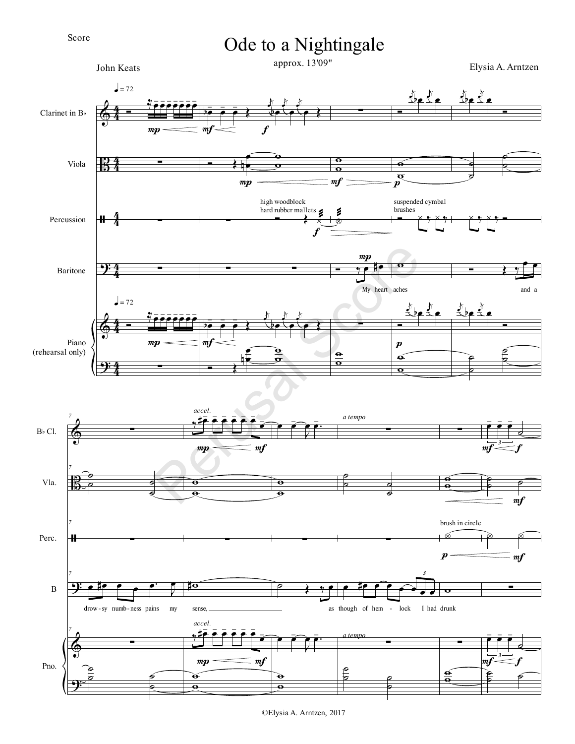## Ode to a Nightingale approx. 13'09"

Elysia A. Arntzen

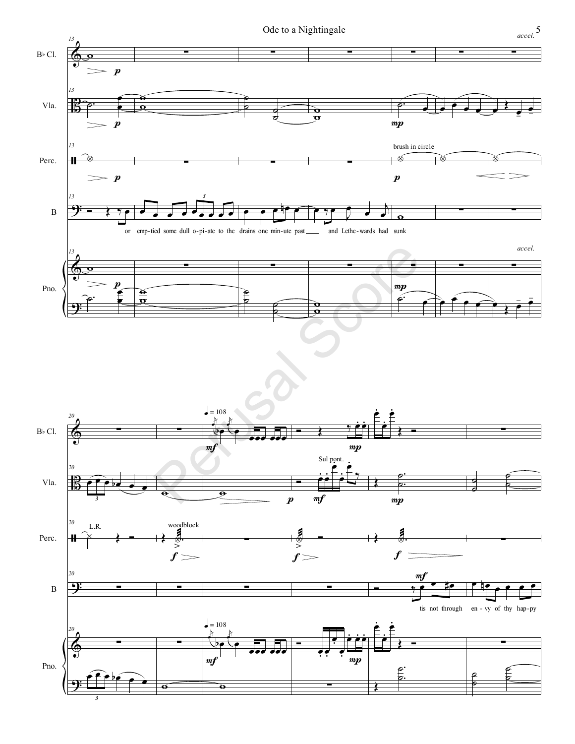![](_page_4_Figure_1.jpeg)

![](_page_4_Figure_2.jpeg)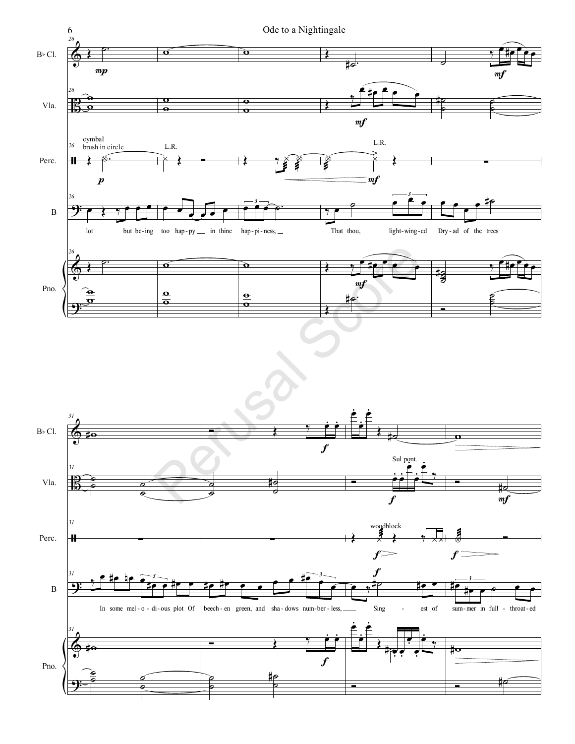![](_page_5_Figure_0.jpeg)

![](_page_5_Figure_1.jpeg)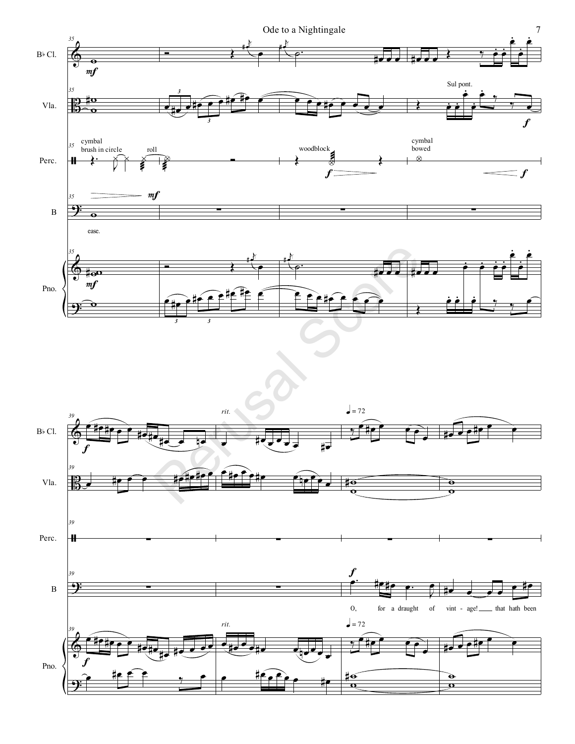![](_page_6_Figure_0.jpeg)

![](_page_6_Figure_1.jpeg)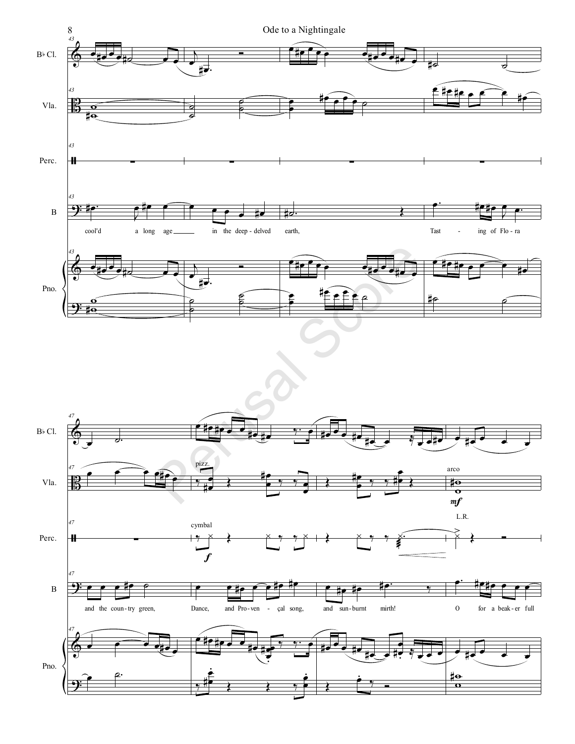![](_page_7_Figure_0.jpeg)

![](_page_7_Figure_1.jpeg)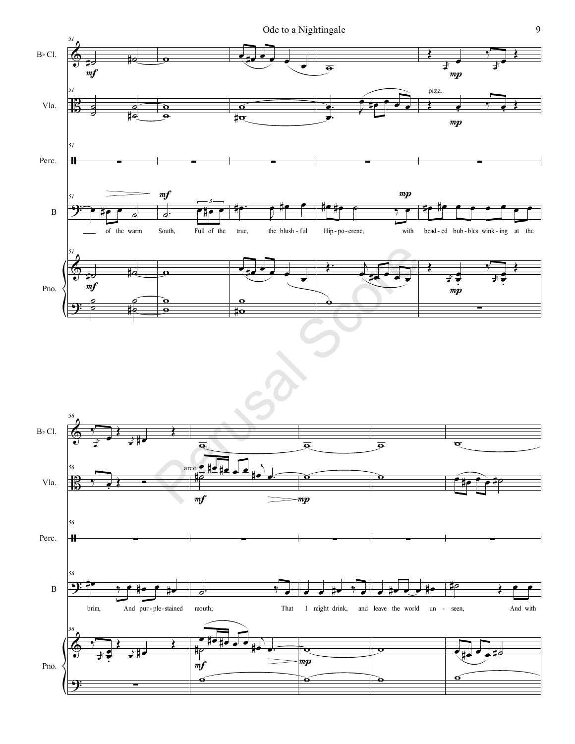![](_page_8_Figure_1.jpeg)

![](_page_8_Figure_2.jpeg)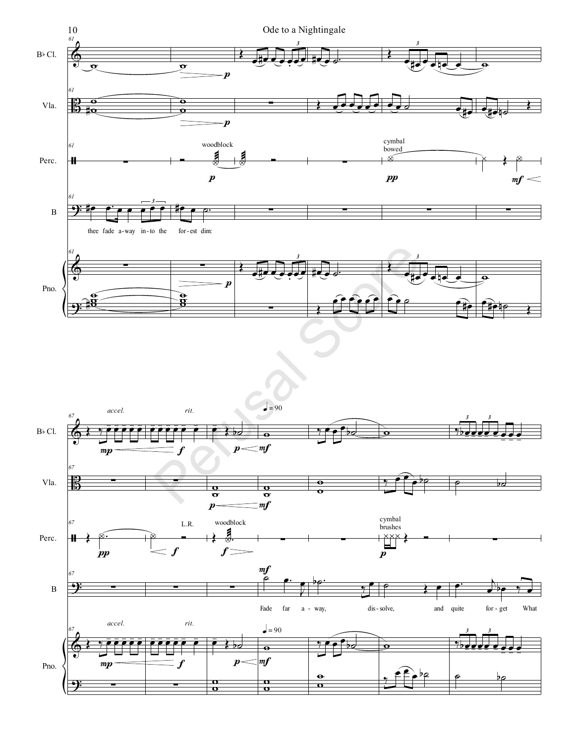![](_page_9_Figure_0.jpeg)

![](_page_9_Figure_1.jpeg)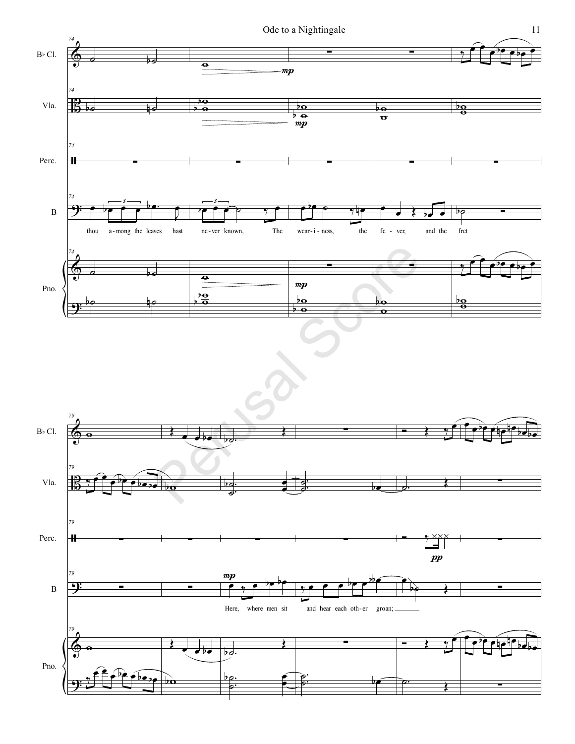![](_page_10_Figure_0.jpeg)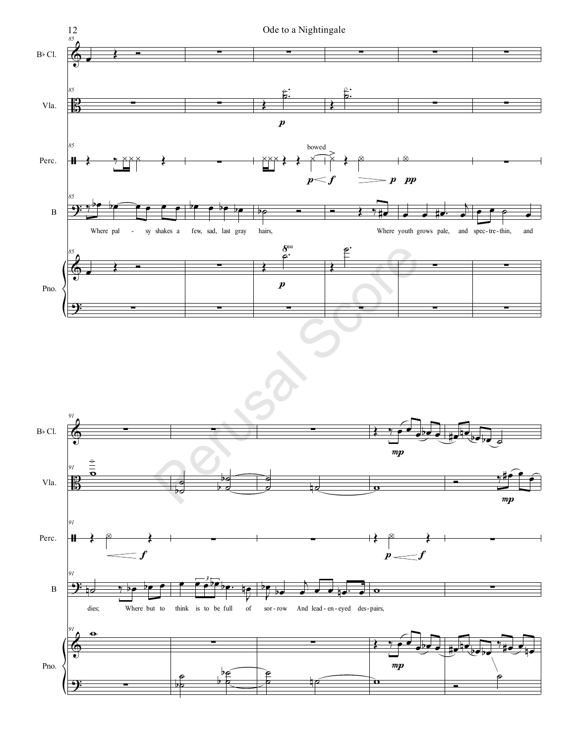![](_page_11_Figure_0.jpeg)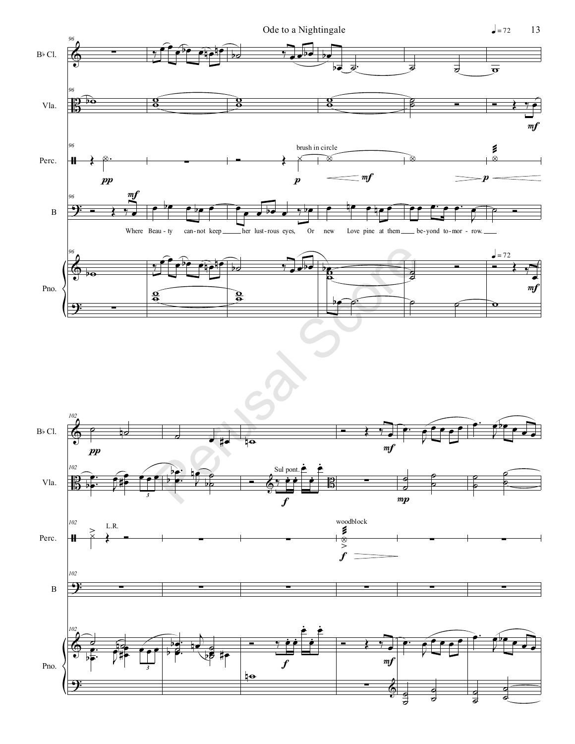![](_page_12_Figure_0.jpeg)

![](_page_12_Figure_1.jpeg)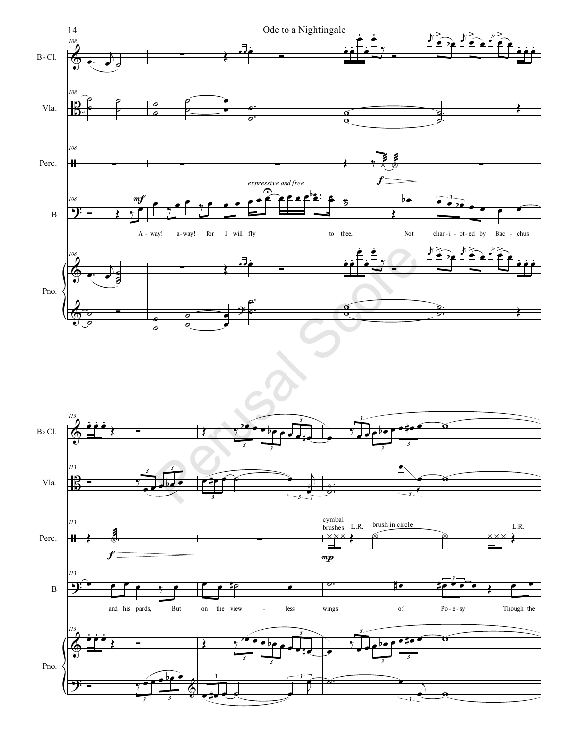![](_page_13_Figure_0.jpeg)

![](_page_13_Figure_1.jpeg)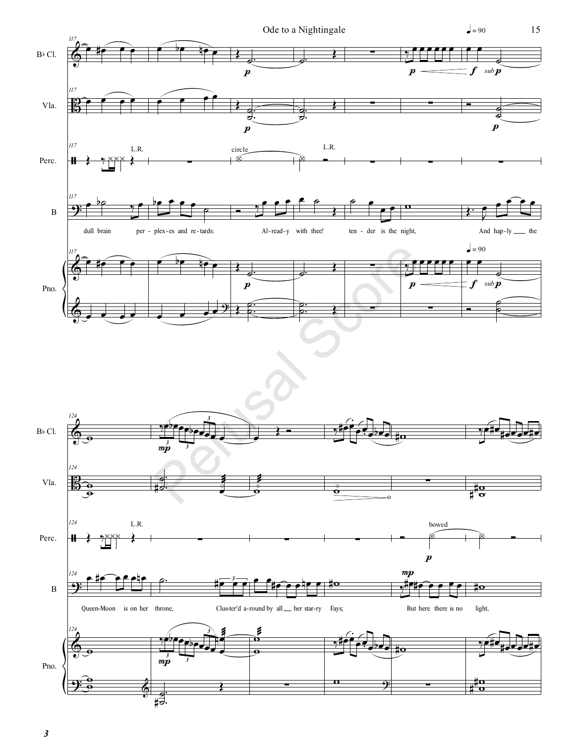![](_page_14_Figure_0.jpeg)

![](_page_14_Figure_1.jpeg)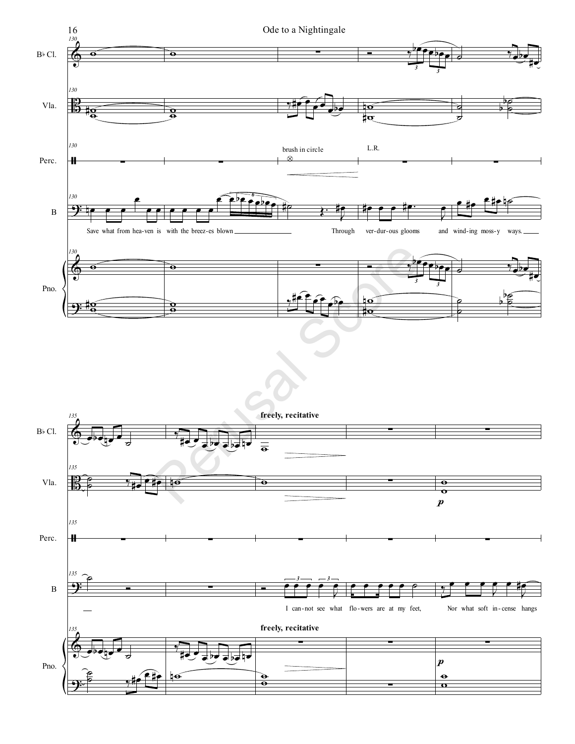![](_page_15_Figure_0.jpeg)

![](_page_15_Figure_1.jpeg)

![](_page_15_Figure_2.jpeg)

B

![](_page_15_Figure_3.jpeg)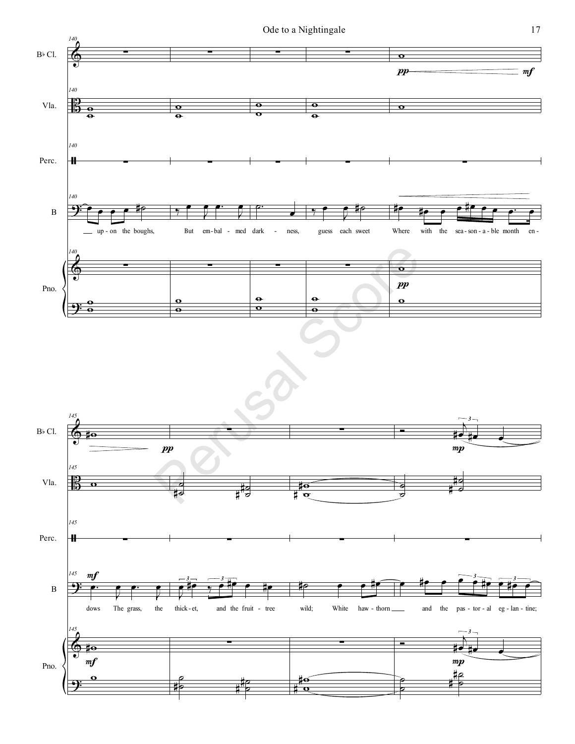![](_page_16_Figure_1.jpeg)

![](_page_16_Figure_2.jpeg)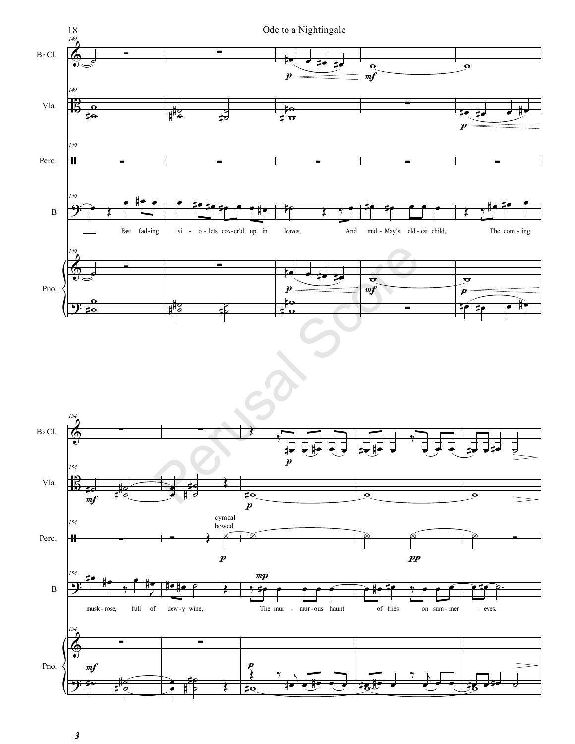![](_page_17_Figure_0.jpeg)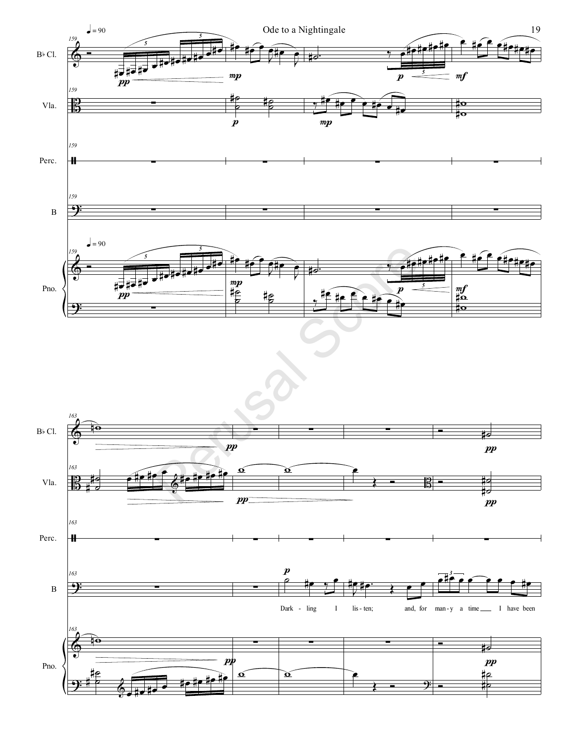![](_page_18_Figure_0.jpeg)

![](_page_18_Figure_1.jpeg)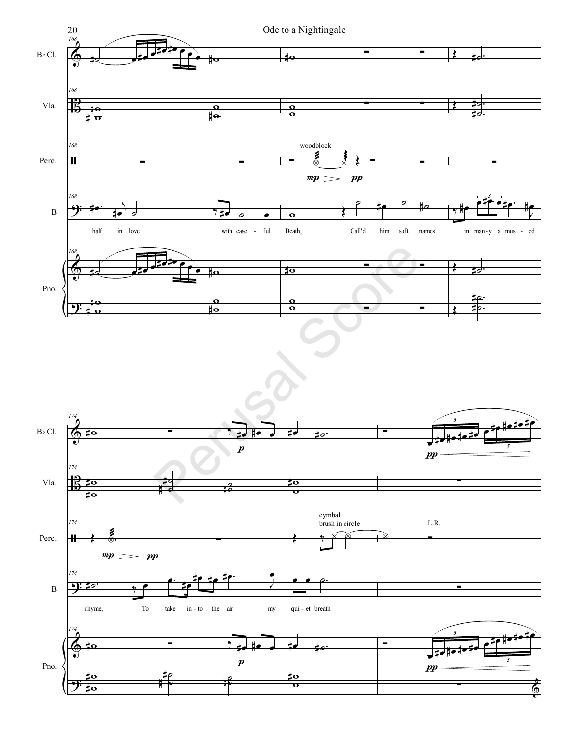![](_page_19_Figure_0.jpeg)

![](_page_19_Figure_1.jpeg)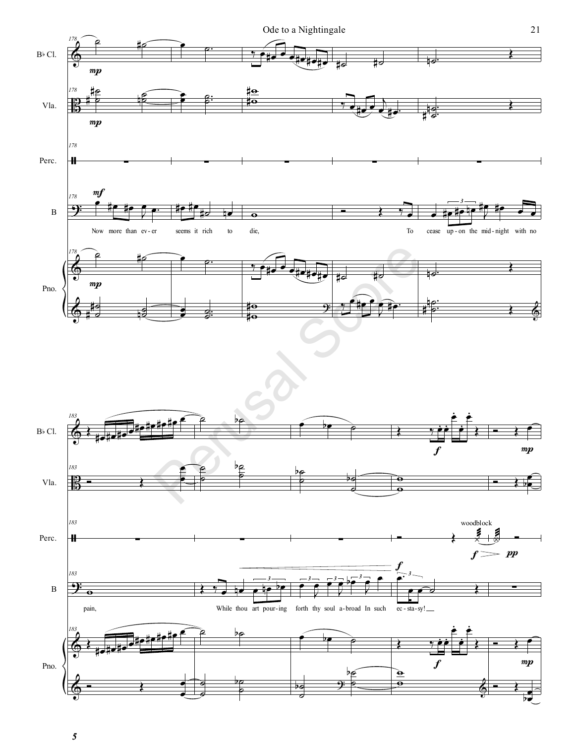![](_page_20_Figure_1.jpeg)

![](_page_20_Figure_2.jpeg)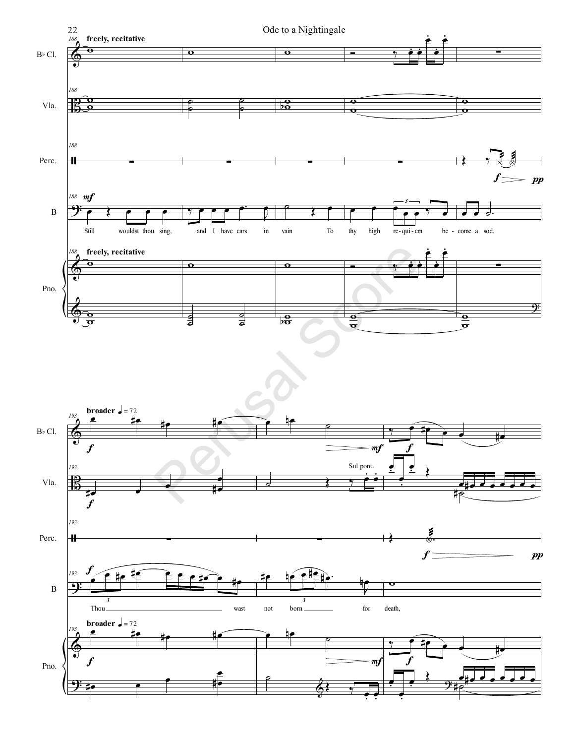![](_page_21_Figure_0.jpeg)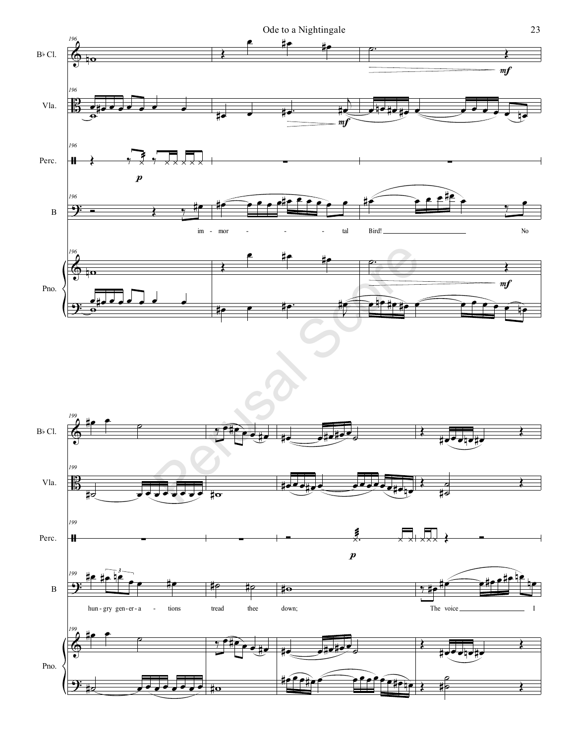![](_page_22_Figure_1.jpeg)

![](_page_22_Figure_2.jpeg)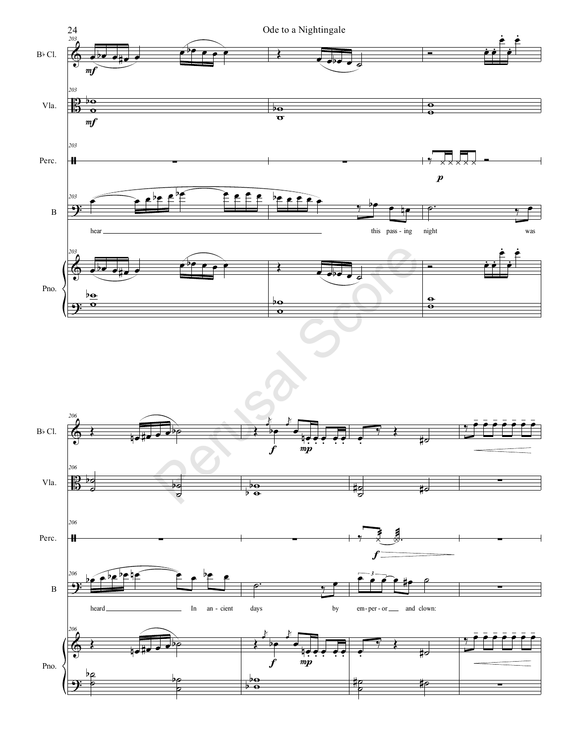![](_page_23_Figure_0.jpeg)

![](_page_23_Figure_1.jpeg)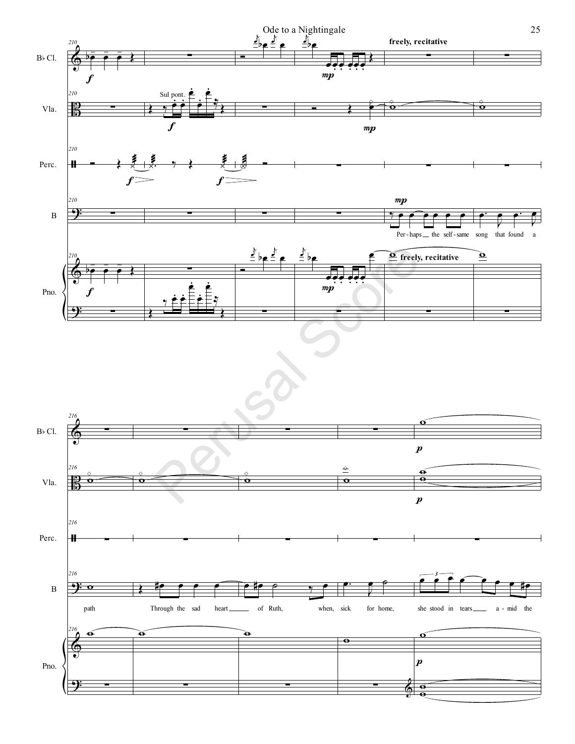![](_page_24_Figure_0.jpeg)

![](_page_24_Figure_1.jpeg)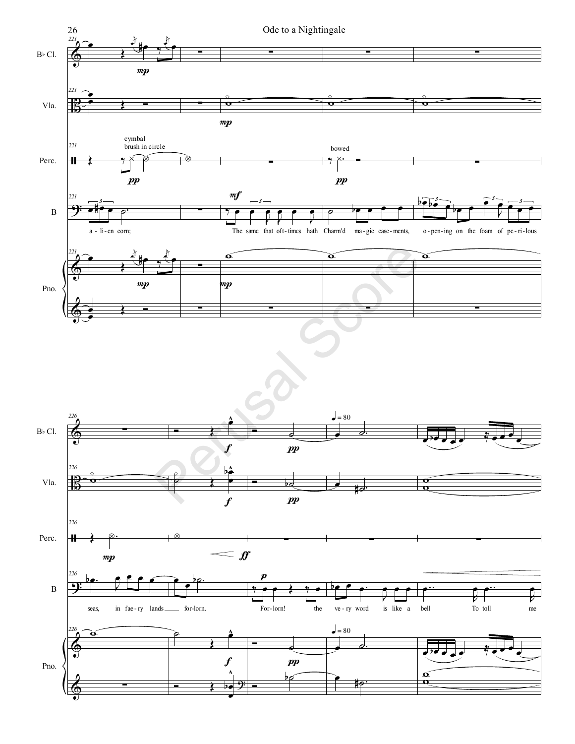![](_page_25_Figure_0.jpeg)

![](_page_25_Figure_1.jpeg)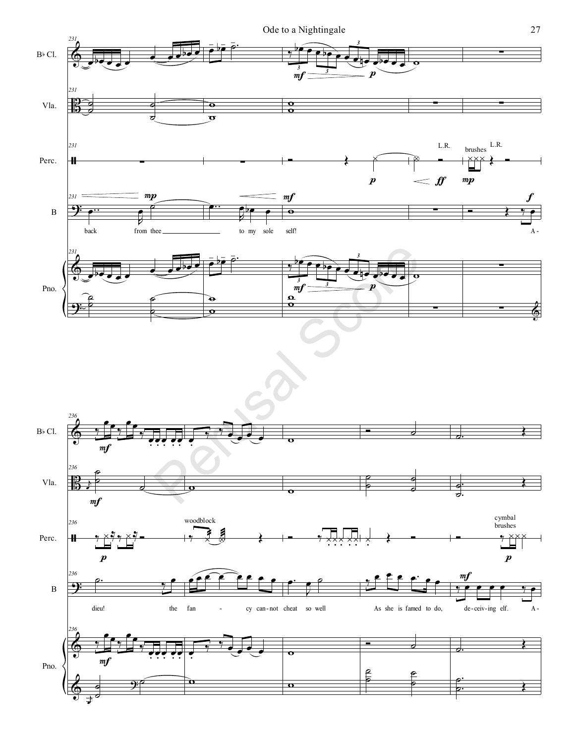![](_page_26_Figure_1.jpeg)

![](_page_26_Figure_2.jpeg)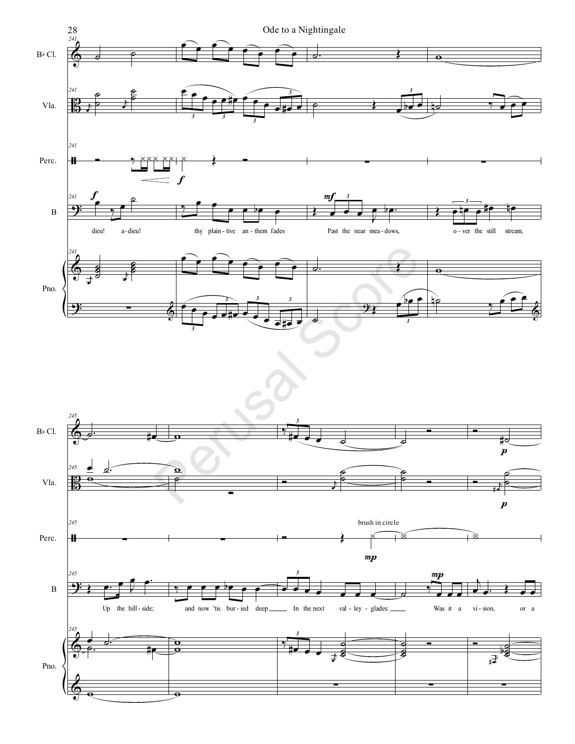![](_page_27_Figure_0.jpeg)

![](_page_27_Figure_1.jpeg)